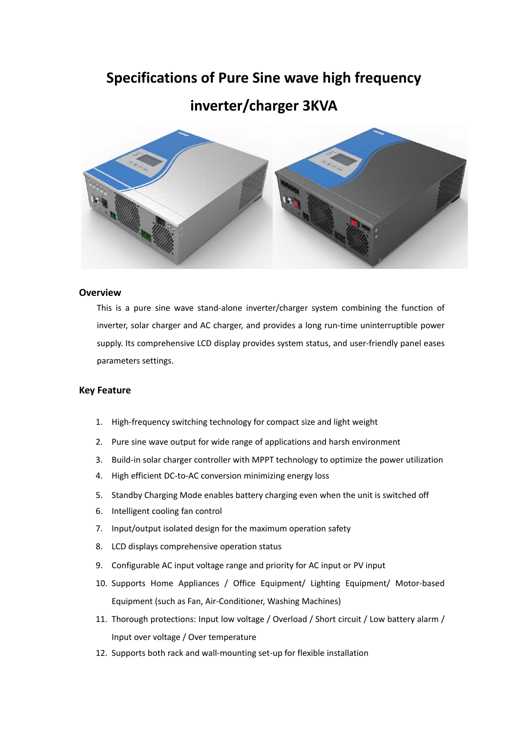## **Specifications of Pure Sine wave high frequency**

### **inverter/charger 3KVA**



#### **Overview**

This is a pure sine wave stand‐alone inverter/charger system combining the function of inverter, solar charger and AC charger, and provides a long run‐time uninterruptible power supply. Its comprehensive LCD display provides system status, and user-friendly panel eases parameters settings.

#### **Key Feature**

- 1. High-frequency switching technology for compact size and light weight
- 2. Pure sine wave output for wide range of applications and harsh environment
- 3. Build-in solar charger controller with MPPT technology to optimize the power utilization
- 4. High efficient DC-to-AC conversion minimizing energy loss
- 5. Standby Charging Mode enables battery charging even when the unit is switched off
- 6. Intelligent cooling fan control
- 7. Input/output isolated design for the maximum operation safety
- 8. LCD displays comprehensive operation status
- 9. Configurable AC input voltage range and priority for AC input or PV input
- 10. Supports Home Appliances / Office Equipment/ Lighting Equipment/ Motor‐based Equipment (such as Fan, Air‐Conditioner, Washing Machines)
- 11. Thorough protections: Input low voltage / Overload / Short circuit / Low battery alarm / Input over voltage / Over temperature
- 12. Supports both rack and wall-mounting set-up for flexible installation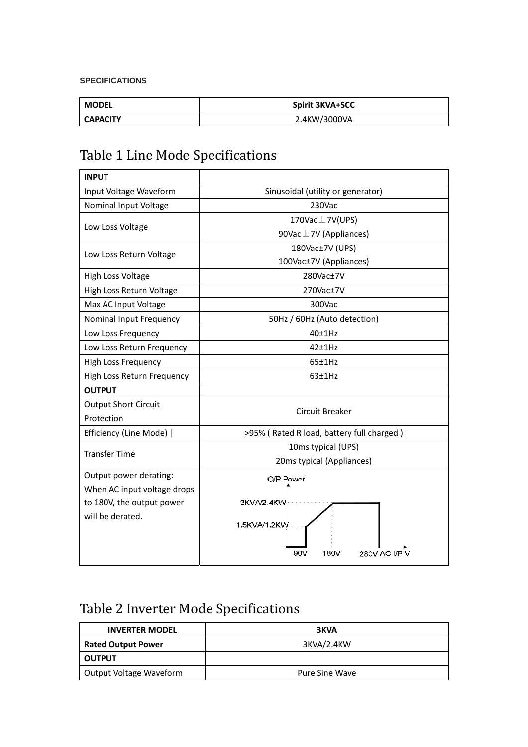#### **SPECIFICATIONS**

| MODEL           | <b>Spirit 3KVA+SCC</b> |
|-----------------|------------------------|
| <b>CAPACITY</b> | 2.4KW/3000VA           |

# Table 1 Line Mode Specifications

| <b>INPUT</b>                |                                           |
|-----------------------------|-------------------------------------------|
| Input Voltage Waveform      | Sinusoidal (utility or generator)         |
| Nominal Input Voltage       | 230Vac                                    |
|                             | 170Vac $\pm$ 7V(UPS)                      |
| Low Loss Voltage            | 90Vac $\pm$ 7V (Appliances)               |
|                             | 180Vac±7V (UPS)                           |
| Low Loss Return Voltage     | 100Vac±7V (Appliances)                    |
| High Loss Voltage           | 280Vac±7V                                 |
| High Loss Return Voltage    | 270Vac±7V                                 |
| Max AC Input Voltage        | 300Vac                                    |
| Nominal Input Frequency     | 50Hz / 60Hz (Auto detection)              |
| Low Loss Frequency          | 40±1Hz                                    |
| Low Loss Return Frequency   | $42+1Hz$                                  |
| <b>High Loss Frequency</b>  | $65 \pm 1$ Hz                             |
| High Loss Return Frequency  | 63±1Hz                                    |
| <b>OUTPUT</b>               |                                           |
| <b>Output Short Circuit</b> | <b>Circuit Breaker</b>                    |
| Protection                  |                                           |
| Efficiency (Line Mode)      | >95% (Rated R load, battery full charged) |
| <b>Transfer Time</b>        | 10ms typical (UPS)                        |
|                             | 20ms typical (Appliances)                 |
| Output power derating:      | O/P Power                                 |
| When AC input voltage drops |                                           |
| to 180V, the output power   | 3KVA/2.4KW                                |
| will be derated.            | 1.5KVA/1.2KW                              |
|                             |                                           |
|                             | 280V AC I/P V<br>90V<br>180V              |
|                             |                                           |

# Table 2 Inverter Mode Specifications

| <b>INVERTER MODEL</b>     | 3KVA           |
|---------------------------|----------------|
| <b>Rated Output Power</b> | 3KVA/2.4KW     |
| <b>OUTPUT</b>             |                |
| Output Voltage Waveform   | Pure Sine Wave |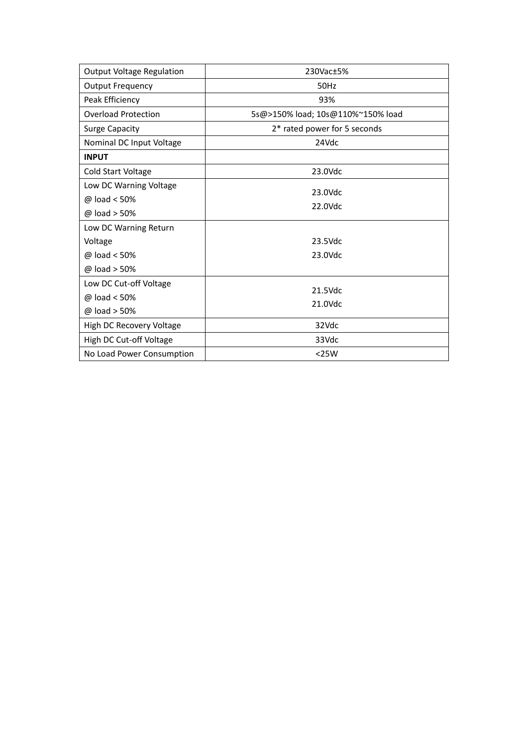| <b>Output Voltage Regulation</b> | 230Vac±5%                         |
|----------------------------------|-----------------------------------|
| <b>Output Frequency</b>          | 50Hz                              |
| Peak Efficiency                  | 93%                               |
| <b>Overload Protection</b>       | 5s@>150% load; 10s@110%~150% load |
| <b>Surge Capacity</b>            | 2* rated power for 5 seconds      |
| Nominal DC Input Voltage         | 24Vdc                             |
| <b>INPUT</b>                     |                                   |
| Cold Start Voltage               | 23.0Vdc                           |
| Low DC Warning Voltage           | 23.0Vdc                           |
| $@$ load < 50%                   |                                   |
| @ load > 50%                     | 22.0Vdc                           |
| Low DC Warning Return            |                                   |
| Voltage                          | $23.5$ Vdc                        |
| $@$ load < 50%                   | 23.0Vdc                           |
| @ load > 50%                     |                                   |
| Low DC Cut-off Voltage           | 21.5Vdc                           |
| @ load < 50%                     |                                   |
| @ load > 50%                     | 21.0Vdc                           |
| High DC Recovery Voltage         | 32Vdc                             |
| High DC Cut-off Voltage          | 33Vdc                             |
| No Load Power Consumption        | $<$ 25W                           |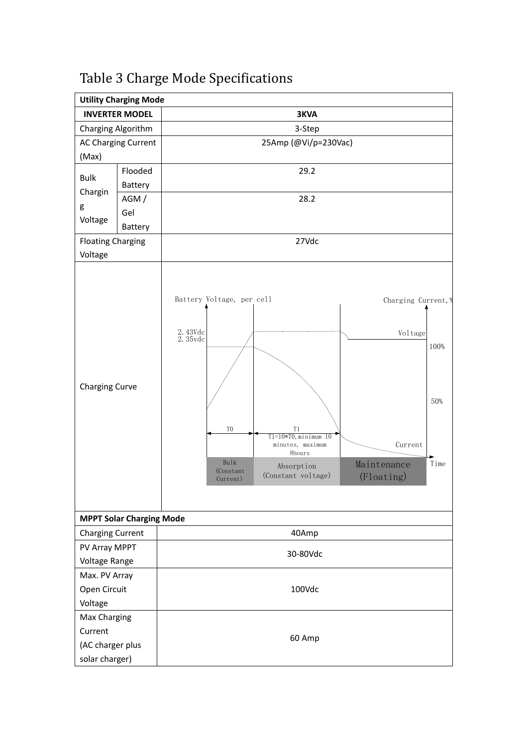|                                    | <b>Utility Charging Mode</b>    |                                                                                                                                                                                                                                                                                   |                     |  |  |
|------------------------------------|---------------------------------|-----------------------------------------------------------------------------------------------------------------------------------------------------------------------------------------------------------------------------------------------------------------------------------|---------------------|--|--|
|                                    | <b>INVERTER MODEL</b>           | <b>3KVA</b>                                                                                                                                                                                                                                                                       |                     |  |  |
| Charging Algorithm                 |                                 | 3-Step                                                                                                                                                                                                                                                                            |                     |  |  |
|                                    | AC Charging Current             | 25Amp (@Vi/p=230Vac)                                                                                                                                                                                                                                                              |                     |  |  |
| (Max)                              |                                 |                                                                                                                                                                                                                                                                                   |                     |  |  |
| <b>Bulk</b>                        | Flooded                         | 29.2                                                                                                                                                                                                                                                                              |                     |  |  |
|                                    | Battery                         |                                                                                                                                                                                                                                                                                   |                     |  |  |
| Chargin                            | AGM/                            | 28.2                                                                                                                                                                                                                                                                              |                     |  |  |
| g                                  | Gel                             |                                                                                                                                                                                                                                                                                   |                     |  |  |
| Voltage                            | Battery                         |                                                                                                                                                                                                                                                                                   |                     |  |  |
| <b>Floating Charging</b>           |                                 | 27Vdc                                                                                                                                                                                                                                                                             |                     |  |  |
| Voltage                            |                                 |                                                                                                                                                                                                                                                                                   |                     |  |  |
| Charging Curve                     |                                 | Battery Voltage, per cell<br>Charging Current, %<br>2.43Vdc<br>Voltage<br>2.35vdc<br>T <sub>0</sub><br>T1<br>$T1=10*T0$ , minimum $10$<br>Current<br>minutes, maximum<br>8hours<br>Bulk<br>Maintenance<br>Absorption<br>(Constant<br>(Constant voltage)<br>(Floating)<br>Current) | 100%<br>50%<br>Time |  |  |
|                                    | <b>MPPT Solar Charging Mode</b> |                                                                                                                                                                                                                                                                                   |                     |  |  |
| <b>Charging Current</b>            |                                 | 40Amp                                                                                                                                                                                                                                                                             |                     |  |  |
| PV Array MPPT                      |                                 | 30-80Vdc                                                                                                                                                                                                                                                                          |                     |  |  |
| Voltage Range                      |                                 |                                                                                                                                                                                                                                                                                   |                     |  |  |
| Max. PV Array                      |                                 |                                                                                                                                                                                                                                                                                   |                     |  |  |
| Open Circuit                       |                                 | 100Vdc                                                                                                                                                                                                                                                                            |                     |  |  |
| Voltage                            |                                 |                                                                                                                                                                                                                                                                                   |                     |  |  |
| Max Charging                       |                                 |                                                                                                                                                                                                                                                                                   |                     |  |  |
| Current                            |                                 | 60 Amp                                                                                                                                                                                                                                                                            |                     |  |  |
| (AC charger plus<br>solar charger) |                                 |                                                                                                                                                                                                                                                                                   |                     |  |  |

# Table 3 Charge Mode Specifications